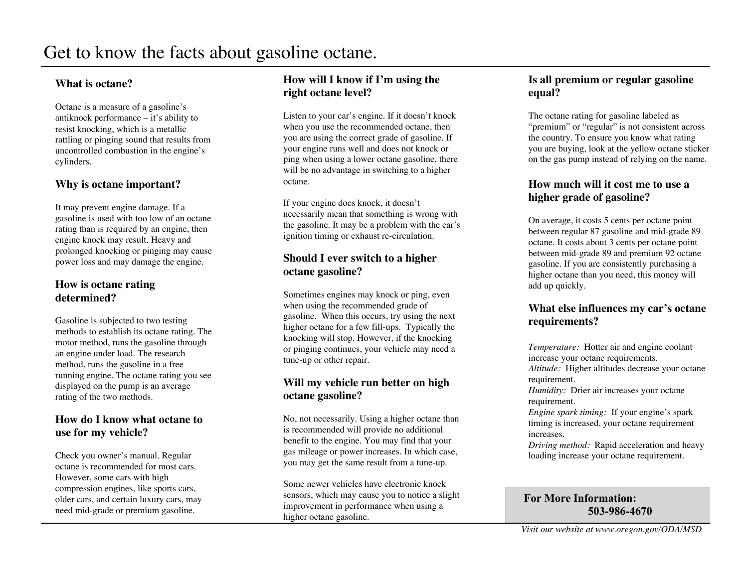#### **What is octane?**

Octane is a measure of a gasoline's antiknock performance – it's ability to resist knocking, which is a metallic rattling or pinging sound that results from uncontrolled combustion in the engine's cylinders.

#### **Why is octane important?**

It may prevent engine damage. If a gasoline is used with too low of an octane rating than is required by an engine, then engine knock may result. Heavy and prolonged knocking or pinging may cause power loss and may damage the engine.

#### **How is octane rating determined?**

Gasoline is subjected to two testing methods to establish its octane rating. The motor method, runs the gasoline through an engine under load. The research method, runs the gasoline in a free running engine. The octane rating you see displayed on the pump is an average rating of the two methods.

#### **How do I know what octane to use for my vehicle?**

Check you owner's manual. Regular octane is recommended for most cars. However, some cars with high compression engines, like sports cars, older cars, and certain luxury cars, may need mid-grade or premium gasoline.

#### **How will I know if I'm using the right octane level?**

Listen to your car's engine. If it doesn't knock when you use the recommended octane, then you are using the correct grade of gasoline. If your engine runs well and does not knock or ping when using a lower octane gasoline, there will be no advantage in switching to a higher octane.

If your engine does knock, it doesn't necessarily mean that something is wrong with the gasoline. It may be a problem with the car's ignition timing or exhaust re-circulation.

#### **Should I ever switch to a higher octane gasoline?**

Sometimes engines may knock or ping, even when using the recommended grade of gasoline. When this occurs, try using the next higher octane for a few fill-ups. Typically the knocking will stop. However, if the knocking or pinging continues, your vehicle may need a tune-up or other repair.

#### **Will my vehicle run better on high octane gasoline?**

No, not necessarily. Using a higher octane than is recommended will provide no additional benefit to the engine. You may find that your gas mileage or power increases. In which case, you may get the same result from a tune-up.

Some newer vehicles have electronic knock sensors, which may cause you to notice a slight improvement in performance when using a higher octane gasoline.

#### **Is all premium or regular gasoline equal?**

The octane rating for gasoline labeled as "premium" or "regular" is not consistent across the country. To ensure you know what rating you are buying, look at the yellow octane sticker on the gas pump instead of relying on the name.

#### **How much will it cost me to use a higher grade of gasoline?**

On average, it costs 5 cents per octane point between regular 87 gasoline and mid-grade 89 octane. It costs about 3 cents per octane point between mid-grade 89 and premium 92 octane gasoline. If you are consistently purchasing a higher octane than you need, this money will add up quickly.

#### **What else influences my car's octane requirements?**

*Temperature:* Hotter air and engine coolant increase your octane requirements. *Altitude:* Higher altitudes decrease your octane requirement.

*Humidity:* Drier air increases your octane requirement.

*Engine spark timing:* If your engine's spark timing is increased, your octane requirement increases.

*Driving method:* Rapid acceleration and heavy loading increase your octane requirement.

#### For More Information: 503-986-4670